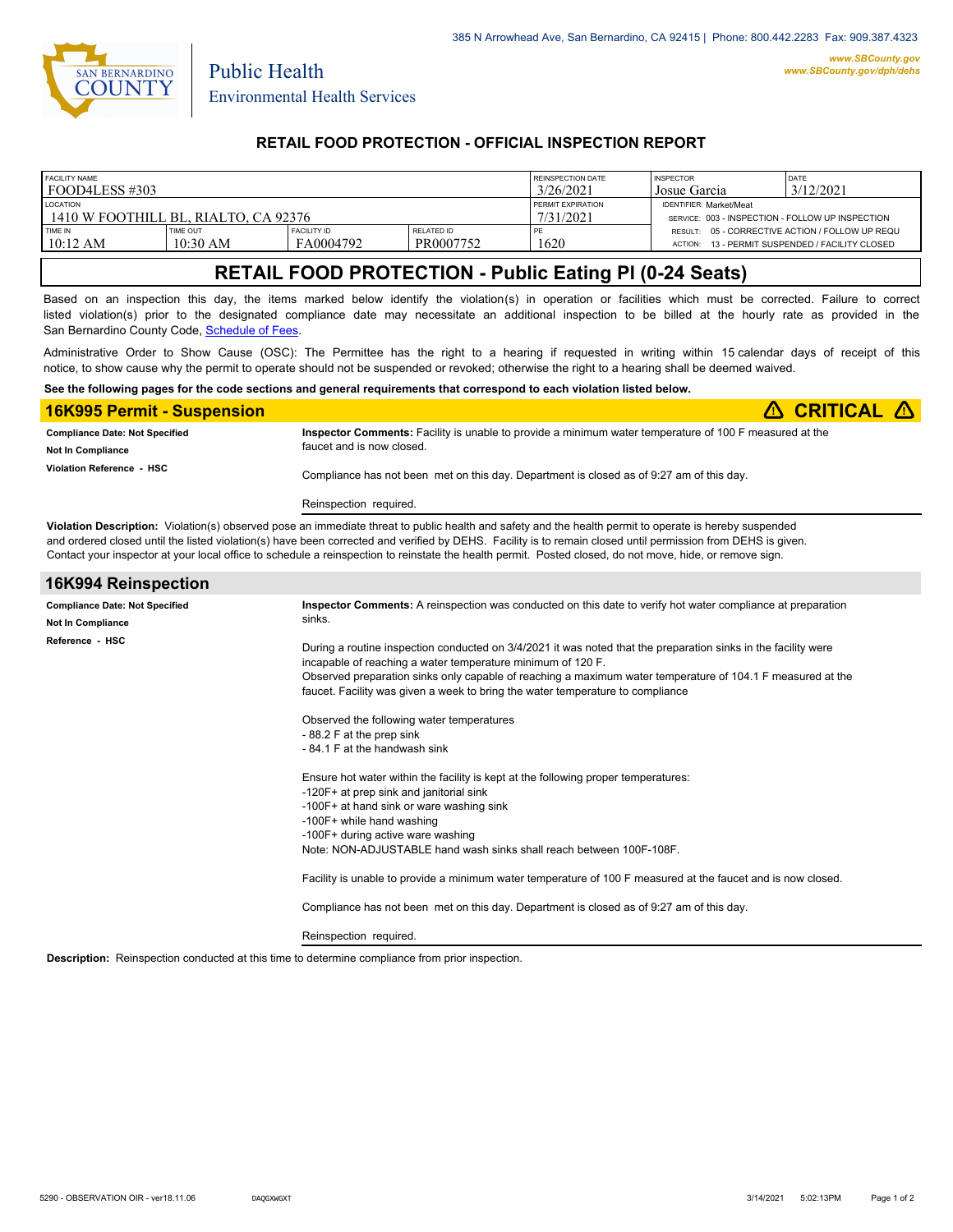

Public Health

### **RETAIL FOOD PROTECTION - OFFICIAL INSPECTION REPORT**

| <b>FACILITY NAME</b>                 |                        |                                 | REINSPECTION DATE       | <b>INSPECTOR</b>  | DATE                                             |                                                                                            |  |
|--------------------------------------|------------------------|---------------------------------|-------------------------|-------------------|--------------------------------------------------|--------------------------------------------------------------------------------------------|--|
| I FOOD4LESS #303                     |                        |                                 | 3/26/2021               | Josue Garcia      | 3/12/2021                                        |                                                                                            |  |
| <b>LOCATION</b>                      |                        |                                 |                         | PERMIT EXPIRATION | <b>IDENTIFIER: Market/Meat</b>                   |                                                                                            |  |
| 1410 W FOOTHILL BL. RIALTO. CA 92376 |                        |                                 |                         | 7/31/2021         | SERVICE: 003 - INSPECTION - FOLLOW UP INSPECTION |                                                                                            |  |
| TIME IN<br>10:12 AM                  | TIME OUT<br>$10:30$ AM | <b>FACILITY ID</b><br>FA0004792 | RELATED ID<br>PR0007752 | 1620              | <b>ACTION:</b>                                   | RESULT: 05 - CORRECTIVE ACTION / FOLLOW UP REQU<br>13 - PERMIT SUSPENDED / FACILITY CLOSED |  |

## **RETAIL FOOD PROTECTION - Public Eating Pl (0-24 Seats)**

Based on an inspection this day, the items marked below identify the violation(s) in operation or facilities which must be corrected. Failure to correct listed violation(s) prior to the designated compliance date may necessitate an additional inspection to be billed at the hourly rate as provided in the San Bernardino County Code, Schedule of Fees

Administrative Order to Show Cause (OSC): The Permittee has the right to a hearing if requested in writing within 15 calendar days of receipt of this notice, to show cause why the permit to operate should not be suspended or revoked; otherwise the right to a hearing shall be deemed waived.

#### **See the following pages for the code sections and general requirements that correspond to each violation listed below.**

| <b>16K995 Permit - Suspension</b>                            | $\triangle$ CRITICAL $\triangle$                                                                                                    |
|--------------------------------------------------------------|-------------------------------------------------------------------------------------------------------------------------------------|
| <b>Compliance Date: Not Specified</b>                        | Inspector Comments: Facility is unable to provide a minimum water temperature of 100 F measured at the<br>faucet and is now closed. |
| <b>Not In Compliance</b><br><b>Violation Reference - HSC</b> | Compliance has not been met on this day. Department is closed as of 9:27 am of this day.                                            |
|                                                              | Reinspection required.                                                                                                              |

**Violation Description:** Violation(s) observed pose an immediate threat to public health and safety and the health permit to operate is hereby suspended and ordered closed until the listed violation(s) have been corrected and verified by DEHS. Facility is to remain closed until permission from DEHS is given. Contact your inspector at your local office to schedule a reinspection to reinstate the health permit. Posted closed, do not move, hide, or remove sign.

| 16K994 Reinspection                                                                  |                                                                                                                                                                                                                                                                                                                                                                                                                                                                                                                                                                                                                 |  |  |
|--------------------------------------------------------------------------------------|-----------------------------------------------------------------------------------------------------------------------------------------------------------------------------------------------------------------------------------------------------------------------------------------------------------------------------------------------------------------------------------------------------------------------------------------------------------------------------------------------------------------------------------------------------------------------------------------------------------------|--|--|
| <b>Compliance Date: Not Specified</b><br><b>Not In Compliance</b><br>Reference - HSC | Inspector Comments: A reinspection was conducted on this date to verify hot water compliance at preparation<br>sinks.<br>During a routine inspection conducted on 3/4/2021 it was noted that the preparation sinks in the facility were<br>incapable of reaching a water temperature minimum of 120 F.<br>Observed preparation sinks only capable of reaching a maximum water temperature of 104.1 F measured at the<br>faucet. Facility was given a week to bring the water temperature to compliance<br>Observed the following water temperatures<br>-88.2 F at the prep sink<br>-84.1 F at the handwash sink |  |  |
|                                                                                      | Ensure hot water within the facility is kept at the following proper temperatures:<br>-120F+ at prep sink and janitorial sink<br>-100F+ at hand sink or ware washing sink<br>-100F+ while hand washing<br>-100F+ during active ware washing<br>Note: NON-ADJUSTABLE hand wash sinks shall reach between 100F-108F.<br>Facility is unable to provide a minimum water temperature of 100 F measured at the faucet and is now closed.<br>Compliance has not been met on this day. Department is closed as of 9:27 am of this day.<br>Reinspection required.                                                        |  |  |

**Description:** Reinspection conducted at this time to determine compliance from prior inspection.